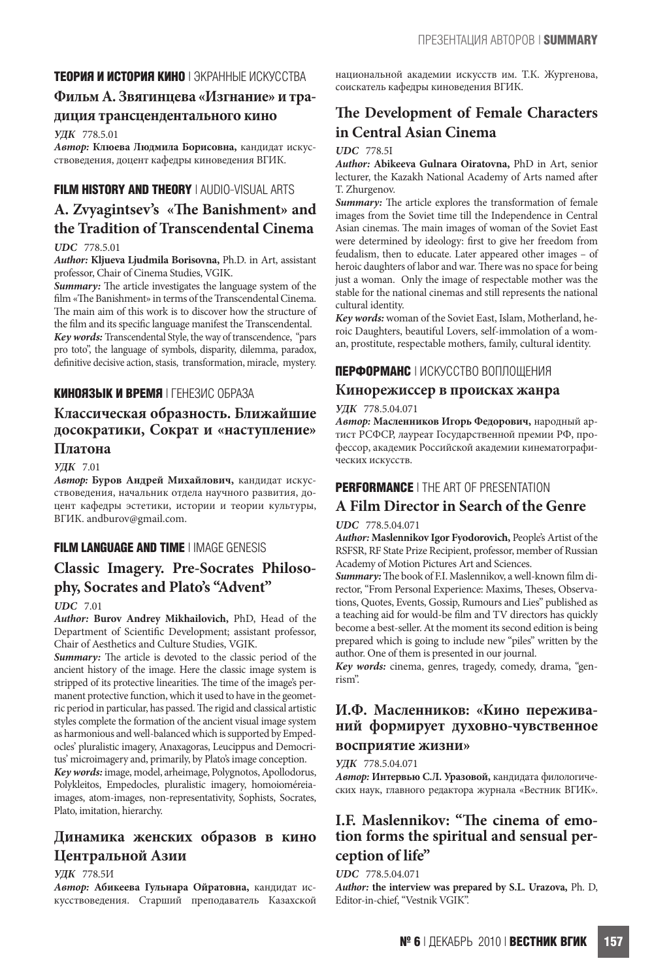## **ТЕОРИЯ И ИСТОРИЯ КИНО** | ЭКРАННЫЕ ИСКУССТВА

## **Фильм А. Звягинцева «Изгнание» и тра-**

### **диция трансцендентального кино**

*УДК* 778.5.01

*Автор:* **Клюева Людмила Борисовна,** кандидат искусствоведения, доцент кафедры киноведения ВГИК.

# **FILM HISTORY AND THEORY** | AUDIO-VISUAL ARTS

# **A. Zvyagintsev's «The Banishment» and the Tradition of Transcendental Cinema**

## *UDC* 778.5.01

*Author:* **Kljueva Ljudmila Borisovna,** Ph.D. in Art, assistant professor, Chair of Cinema Studies, VGIK.

*Summary:* The article investigates the language system of the film «The Banishment» in terms of the Transcendental Cinema. The main aim of this work is to discover how the structure of the film and its specific language manifest the Transcendental. *Key words:* Transcendental Style, the way of transcendence, "pars pro toto", the language of symbols, disparity, dilemma, paradox, definitive decisive action, stasis, transformation, miracle, mystery.

## **КИНОЯЗЫК И ВРЕМЯ** | ГЕНЕЗИС ОБРАЗА

## **Классическая образность. Ближайшие досократики, Сократ и «наступление» Платона**

*УДК* 7.01

*Автор:* **Буров Андрей Михайлович,** кандидат искусствоведения, начальник отдела научного развития, доцент кафедры эстетики, истории и теории культуры, ВГИК. andburov@gmail.com.

## **FILM LANGUAGE AND TIME** | IMAGE GENESIS

# **Classic Imagery. Pre-Socrates Philosophy, Socrates and Plato's "Advent"**

#### *UDC* 7.01

*Author:* **Burov Andrey Mikhailovich,** PhD, Head of the Department of Scientific Development; assistant professor, Chair of Aesthetics and Culture Studies, VGIK.

*Summary:* The article is devoted to the classic period of the ancient history of the image. Here the classic image system is stripped of its protective linearities. The time of the image's permanent protective function, which it used to have in the geometric period in particular, has passed. The rigid and classical artistic styles complete the formation of the ancient visual image system as harmonious and well-balanced which is supported by Empedocles' pluralistic imagery, Anaxagoras, Leucippus and Democritus' microimagery and, primarily, by Plato's image conception.

*Key words:* image, model, arheimage, Polygnotos, Apollodorus, Polykleitos, Empedocles, pluralistic imagery, homoioméreiaimages, atom-images, non-representativity, Sophists, Socrates, Plato, imitation, hierarchy.

## **Динамика женских образов в кино Центральной Азии**

#### *УДК* 778.5И

*Автор:* **Абикеева Гульнара Ойратовна,** кандидат искусствоведения. Старший преподаватель Казахской национальной академии искусств им. Т.К. Жургенова, соискатель кафедры киноведения ВГИК.

# **The Development of Female Characters in Central Asian Cinema**

#### *UDC* 778.5I

*Author:* **Abikeeva Gulnara Oiratovna,** PhD in Art, senior lecturer, the Kazakh National Academy of Arts named after T. Zhurgenov.

*Summary:* The article explores the transformation of female images from the Soviet time till the Independence in Central Asian cinemas. The main images of woman of the Soviet East were determined by ideology: first to give her freedom from feudalism, then to educate. Later appeared other images – of heroic daughters of labor and war. There was no space for being just a woman. Only the image of respectable mother was the stable for the national cinemas and still represents the national cultural identity.

*Key words:* woman of the Soviet East, Islam, Motherland, heroic Daughters, beautiful Lovers, self-immolation of a woman, prostitute, respectable mothers, family, cultural identity.

## **ПЕРФОРМАНС** | ИСКУССТВО ВОПЛОЩЕНИЯ

### **Кинорежиссер в происках жанра**

### *УДК* 778.5.04.071

*Автор:* **Масленников Игорь Федорович,** народный артист РСФСР, лауреат Государственной премии РФ, профессор, академик Российской академии кинематографических искусств.

## **PERFORMANCE** | THE ART OF PRESENTATION

# **A Film Director in Search of the Genre**

## *UDC* 778.5.04.071

*Author:* **Maslennikov Igor Fyodorovich,** People's Artist of the RSFSR, RF State Prize Recipient, professor, member of Russian Academy of Motion Pictures Art and Sciences.

*Summary:* The book of F.I. Maslennikov, a well-known film director, "From Personal Experience: Maxims, Theses, Observations, Quotes, Events, Gossip, Rumours and Lies" published as a teaching aid for would-be film and TV directors has quickly become a best-seller. At the moment its second edition is being prepared which is going to include new "piles" written by the author. One of them is presented in our journal.

*Key words:* cinema, genres, tragedy, comedy, drama, "genrism".

# **И.Ф. Масленников: «Кино переживаний формирует духовно-чувственное**

# **восприятие жизни»**

*УДК* 778.5.04.071

*Автор:* **Интервью С.Л. Уразовой,** кандидата филологических наук, главного редактора журнала «Вестник ВГИК».

## **I.F. Maslennikov: "The cinema of emotion forms the spiritual and sensual perception of life"**

#### *UDC* 778.5.04.071

*Author:* **the interview was prepared by S.L. Urazova,** Ph. D, Editor-in-chief, "Vestnik VGIK".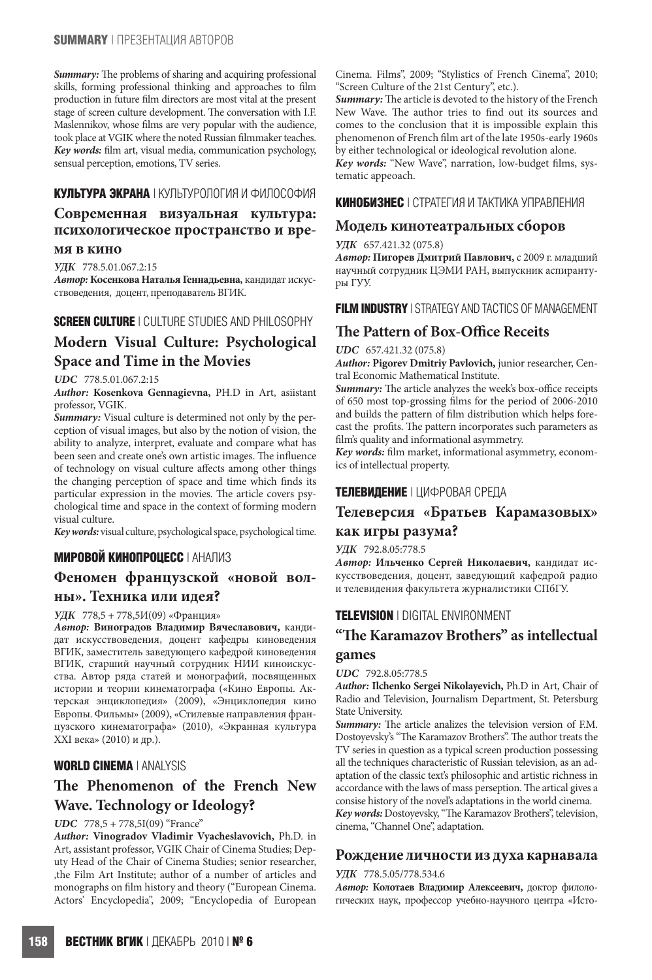### **SUMMARY** | ПРЕЗЕНТАЦИЯ АВТОРОВ

*Summary:* The problems of sharing and acquiring professional skills, forming professional thinking and approaches to film production in future film directors are most vital at the present stage of screen culture development. The conversation with I.F. Maslennikov, whose films are very popular with the audience, took place at VGIK where the noted Russian filmmaker teaches. *Key words:* film art, visual media, communication psychology, sensual perception, emotions, TV series.

### **КУЛЬТУРА ЭКРАНА** | КУЛЬТУРОЛОГИЯ И ФИЛОСОФИЯ

## **Современная визуальная культура: психологическое пространство и вре-**

### **мя в кино**

*УДК* 778.5.01.067.2:15

*Автор:***Косенкова Наталья Геннадьевна,** кандидат искусствоведения, доцент, преподаватель ВГИК.

## **SCREEN CULTURE** | CULTURE STUDIES AND PHILOSOPHY **Modern Visual Culture: Psychological Space and Time in the Movies**

#### *UDC* 778.5.01.067.2:15

*Author:* **Kosenkova Gennagievna,** PH.D in Art, asiistant professor, VGIK.

*Summary:* Visual culture is determined not only by the perception of visual images, but also by the notion of vision, the ability to analyze, interpret, evaluate and compare what has been seen and create one's own artistic images. The influence of technology on visual culture affects among other things the changing perception of space and time which finds its particular expression in the movies. The article covers psychological time and space in the context of forming modern visual culture.

*Key words:* visual culture, psychological space, psychological time.

## **МИРОВОЙ КИНОПРОЦЕСС** | АНАЛИЗ

## **Феномен французской «новой волны». Техника или идея?**

#### *УДК* 778,5 + 778,5И(09) «Франция»

*Автор:* **Виноградов Владимир Вячеславович,** кандидат искусствоведения, доцент кафедры киноведения ВГИК, заместитель заведующего кафедрой киноведения ВГИК, старший научный сотрудник НИИ киноискусства. Автор ряда статей и монографий, посвященных истории и теории кинематографа («Кино Европы. Актерская энциклопедия» (2009), «Энциклопедия кино Европы. Фильмы» (2009), «Стилевые направления французского кинематографа» (2010), «Экранная культура ХХI века» (2010) и др.).

### **WORLD CINEMA** | ANALYSIS

## **The Phenomenon of the French New Wave. Technology or Ideology?**

#### *UDC* 778,5 + 778,5I(09) "France"

*Author:* **Vinogradov Vladimir Vyacheslavovich,** Ph.D. in Art, assistant professor, VGIK Chair of Cinema Studies; Deputy Head of the Chair of Cinema Studies; senior researcher, ,the Film Art Institute; author of a number of articles and monographs on film history and theory ("European Cinema. Actors' Encyclopedia", 2009; "Encyclopedia of European

Cinema. Films", 2009; "Stylistics of French Cinema", 2010; "Screen Culture of the 21st Century", etc.).

*Summary:* The article is devoted to the history of the French New Wave. The author tries to find out its sources and comes to the conclusion that it is impossible explain this phenomenon of French film art of the late 1950s-early 1960s by either technological or ideological revolution alone. *Key words:* "New Wave", narration, low-budget films, systematic appeoach.

### **КИНОБИЗНЕС** | СТРАТЕГИЯ И ТАКТИКА УПРАВЛЕНИЯ

### **Модель кинотеатральных сборов**

#### *УДК* 657.421.32 (075.8)

*Автор:* **Пигорев Дмитрий Павлович,** с 2009 г. младший научный сотрудник ЦЭМИ РАН, выпускник аспирантуры ГУУ.

### **FILM INDUSTRY** | STRATEGY AND TACTICS OF MANAGEMENT

## **The Pattern of Box-Office Receits**

#### *UDC* 657.421.32 (075.8)

*Author:* **Pigorev Dmitriy Pavlovich,** junior researcher, Central Economic Mathematical Institute.

*Summary:* The article analyzes the week's box-office receipts of 650 most top-grossing films for the period of 2006-2010 and builds the pattern of film distribution which helps forecast the profits. The pattern incorporates such parameters as film's quality and informational asymmetry.

*Key words:* film market, informational asymmetry, economics of intellectual property.

### **ТЕЛЕВИДЕНИЕ** | ЦИФРОВАЯ СРЕДА

## **Телеверсия «Братьев Карамазовых» как игры разума?**

### *УДК* 792.8.05:778.5

*Автор:* **Ильченко Сергей Николаевич,** кандидат искусствоведения, доцент, заведующий кафедрой радио и телевидения факультета журналистики СПбГУ.

## **TELEVISION** | DIGITAL ENVIRONMENT

## **"The Karamazov Brothers" as intellectual games**

#### *UDC* 792.8.05:778.5

*Author:* **Ilchenko Sergei Nikolayevich,** Ph.D in Art, Chair of Radio and Television, Journalism Department, St. Petersburg State University.

*Summary:* The article analizes the television version of F.M. Dostoyevsky's "The Karamazov Brothers". The author treats the TV series in question as a typical screen production possessing all the techniques characteristic of Russian television, as an adaptation of the classic text's philosophic and artistic richness in accordance with the laws of mass perseption. The artical gives a consise history of the novel's adaptations in the world cinema. *Key words:* Dostoyevsky, "The Karamazov Brothers", television,

cinema, "Channel One", adaptation.

#### **Рождение личности из духа карнавала**

#### *УДК* 778.5.05/778.534.6

*Автор:* **Колотаев Владимир Алексеевич,** доктор филологических наук, профессор учебно-научного центра «Исто